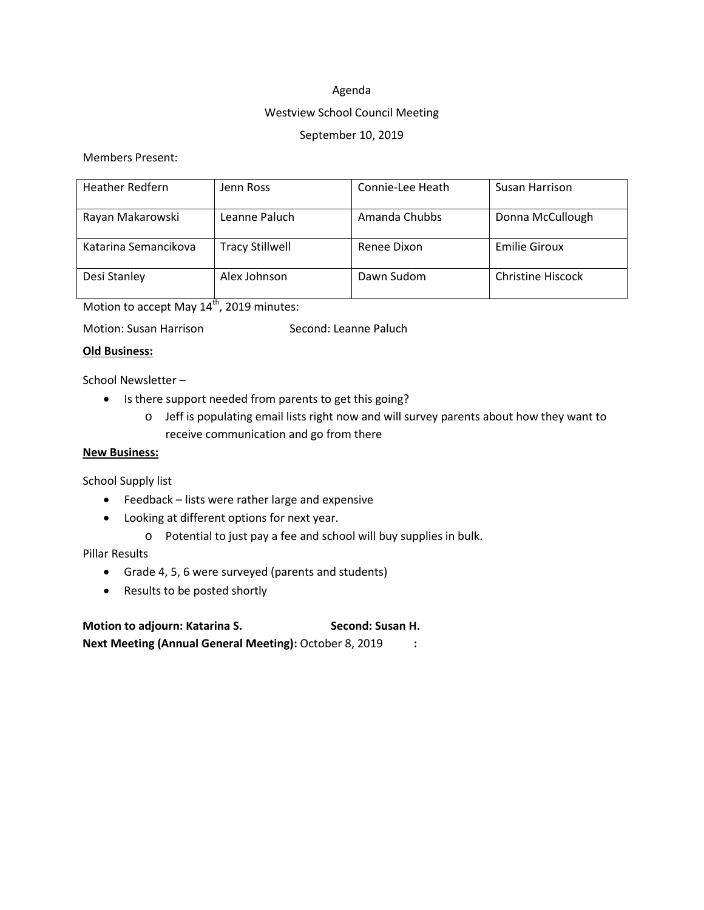#### Agenda

### Westview School Council Meeting

## September 10, 2019

## Members Present:

| <b>Heather Redfern</b> | Jenn Ross              | Connie-Lee Heath | Susan Harrison           |
|------------------------|------------------------|------------------|--------------------------|
| Rayan Makarowski       | Leanne Paluch          | Amanda Chubbs    | Donna McCullough         |
| Katarina Semancikova   | <b>Tracy Stillwell</b> | Renee Dixon      | <b>Emilie Giroux</b>     |
| Desi Stanley           | Alex Johnson           | Dawn Sudom       | <b>Christine Hiscock</b> |

Motion to accept May 14<sup>th</sup>, 2019 minutes:

### **Old Business:**

School Newsletter –

- Is there support needed from parents to get this going?
	- o Jeff is populating email lists right now and will survey parents about how they want to receive communication and go from there

#### **New Business:**

School Supply list

- Feedback lists were rather large and expensive
- Looking at different options for next year.
	- o Potential to just pay a fee and school will buy supplies in bulk.

## Pillar Results

- Grade 4, 5, 6 were surveyed (parents and students)
- Results to be posted shortly

**Motion to adjourn: Katarina S. Second: Susan H. Next Meeting (Annual General Meeting):** October 8, 2019 **:**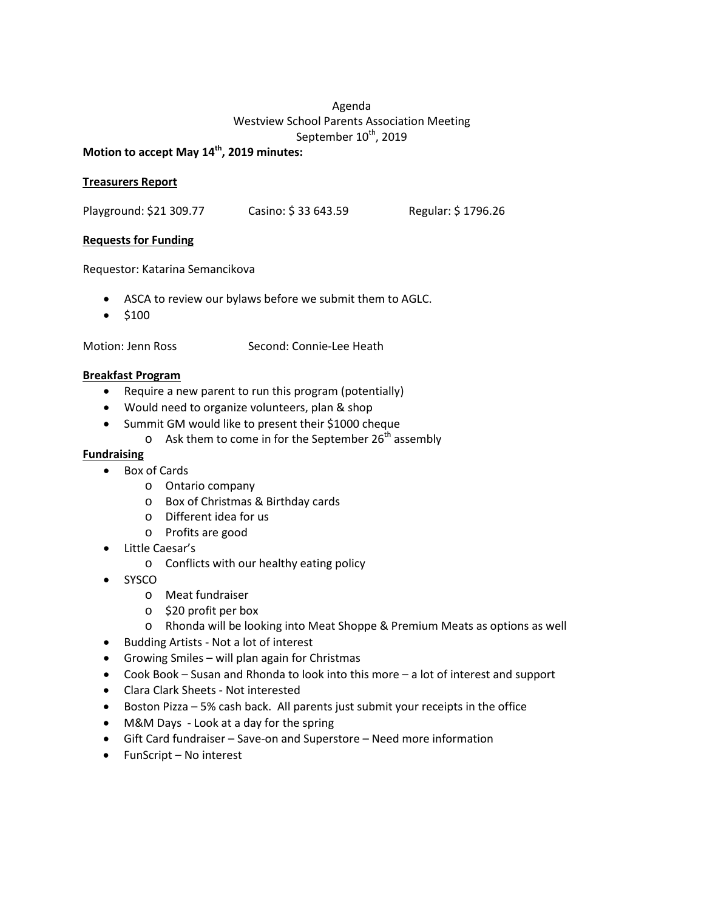## Agenda Westview School Parents Association Meeting September 10<sup>th</sup>, 2019

## **Motion to accept May 14th, 2019 minutes:**

### **Treasurers Report**

Playground: \$21 309.77 Casino: \$ 33 643.59 Regular: \$ 1796.26

## **Requests for Funding**

Requestor: Katarina Semancikova

- ASCA to review our bylaws before we submit them to AGLC.
- $5100$

Motion: Jenn Ross Second: Connie-Lee Heath

### **Breakfast Program**

- Require a new parent to run this program (potentially)
- Would need to organize volunteers, plan & shop
- Summit GM would like to present their \$1000 cheque
	- $\circ$  Ask them to come in for the September 26<sup>th</sup> assembly

### **Fundraising**

- Box of Cards
	- o Ontario company
	- o Box of Christmas & Birthday cards
	- o Different idea for us
	- o Profits are good
- Little Caesar's
	- o Conflicts with our healthy eating policy
- SYSCO
	- o Meat fundraiser
	- o \$20 profit per box
	- o Rhonda will be looking into Meat Shoppe & Premium Meats as options as well
- Budding Artists Not a lot of interest
- Growing Smiles will plan again for Christmas
- Cook Book Susan and Rhonda to look into this more a lot of interest and support
- Clara Clark Sheets Not interested
- Boston Pizza 5% cash back. All parents just submit your receipts in the office
- M&M Days Look at a day for the spring
- Gift Card fundraiser Save-on and Superstore Need more information
- FunScript No interest